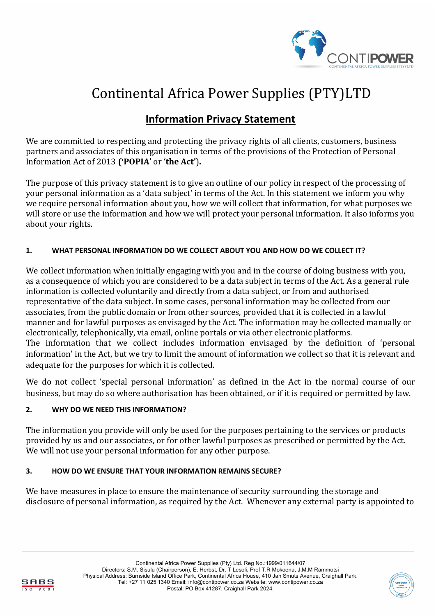

# Continental Africa Power Supplies (PTY)LTD

# **Information Privacy Statement**

We are committed to respecting and protecting the privacy rights of all clients, customers, business partners and associates of this organisation in terms of the provisions of the Protection of Personal Information Act of 2013 **('POPIA'** or **'the Act'**)**.**

The purpose of this privacy statement is to give an outline of our policy in respect of the processing of your personal information as a 'data subject' in terms of the Act. In this statement we inform you why we require personal information about you, how we will collect that information, for what purposes we will store or use the information and how we will protect your personal information. It also informs you about your rights.

# **1. WHAT PERSONAL INFORMATION DO WE COLLECT ABOUT YOU AND HOW DO WE COLLECT IT?**

We collect information when initially engaging with you and in the course of doing business with you, as a consequence of which you are considered to be a data subject in terms of the Act. As a general rule information is collected voluntarily and directly from a data subject, or from and authorised representative of the data subject. In some cases, personal information may be collected from our associates, from the public domain or from other sources, provided that it is collected in a lawful manner and for lawful purposes as envisaged by the Act. The information may be collected manually or electronically, telephonically, via email, online portals or via other electronic platforms. The information that we collect includes information envisaged by the definition of 'personal information' in the Act, but we try to limit the amount of information we collect so that it is relevant and

We do not collect 'special personal information' as defined in the Act in the normal course of our business, but may do so where authorisation has been obtained, or if it is required or permitted by law.

# **2. WHY DO WE NEED THIS INFORMATION?**

The information you provide will only be used for the purposes pertaining to the services or products provided by us and our associates, or for other lawful purposes as prescribed or permitted by the Act. We will not use your personal information for any other purpose.

## **3. HOW DO WE ENSURE THAT YOUR INFORMATION REMAINS SECURE?**

We have measures in place to ensure the maintenance of security surrounding the storage and disclosure of personal information, as required by the Act. Whenever any external party is appointed to